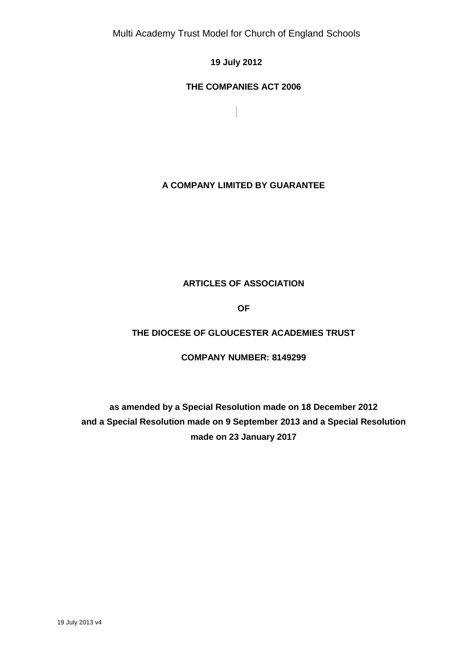# **19 July 2012**

 $\overline{\phantom{a}}$ 

### **THE COMPANIES ACT 2006**

**A COMPANY LIMITED BY GUARANTEE**

# **ARTICLES OF ASSOCIATION**

**OF**

# **THE DIOCESE OF GLOUCESTER ACADEMIES TRUST**

### **COMPANY NUMBER: 8149299**

# **as amended by a Special Resolution made on 18 December 2012 and a Special Resolution made on 9 September 2013 and a Special Resolution made on 23 January 2017**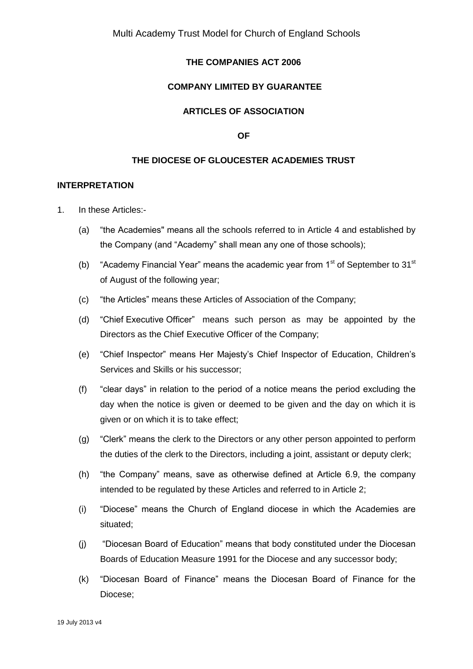### **THE COMPANIES ACT 2006**

#### **COMPANY LIMITED BY GUARANTEE**

# **ARTICLES OF ASSOCIATION**

#### **OF**

#### **THE DIOCESE OF GLOUCESTER ACADEMIES TRUST**

#### **INTERPRETATION**

- 1. In these Articles:-
	- (a) "the Academies" means all the schools referred to in Article 4 and established by the Company (and "Academy" shall mean any one of those schools);
	- (b) "Academy Financial Year" means the academic year from  $1<sup>st</sup>$  of September to  $31<sup>st</sup>$ of August of the following year;
	- (c) "the Articles" means these Articles of Association of the Company;
	- (d) "Chief Executive Officer" means such person as may be appointed by the Directors as the Chief Executive Officer of the Company;
	- (e) "Chief Inspector" means Her Majesty's Chief Inspector of Education, Children's Services and Skills or his successor;
	- (f) "clear days" in relation to the period of a notice means the period excluding the day when the notice is given or deemed to be given and the day on which it is given or on which it is to take effect;
	- (g) "Clerk" means the clerk to the Directors or any other person appointed to perform the duties of the clerk to the Directors, including a joint, assistant or deputy clerk;
	- (h) "the Company" means, save as otherwise defined at Article 6.9, the company intended to be regulated by these Articles and referred to in Article 2;
	- (i) "Diocese" means the Church of England diocese in which the Academies are situated;
	- (j) "Diocesan Board of Education" means that body constituted under the Diocesan Boards of Education Measure 1991 for the Diocese and any successor body;
	- (k) "Diocesan Board of Finance" means the Diocesan Board of Finance for the Diocese;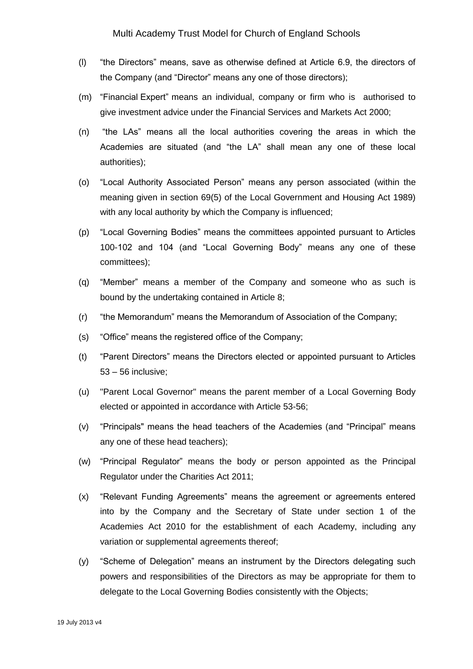- (l) "the Directors" means, save as otherwise defined at Article 6.9, the directors of the Company (and "Director" means any one of those directors);
- (m) "Financial Expert" means an individual, company or firm who is authorised to give investment advice under the Financial Services and Markets Act 2000;
- (n) "the LAs" means all the local authorities covering the areas in which the Academies are situated (and "the LA" shall mean any one of these local authorities);
- (o) "Local Authority Associated Person" means any person associated (within the meaning given in section 69(5) of the Local Government and Housing Act 1989) with any local authority by which the Company is influenced;
- (p) "Local Governing Bodies" means the committees appointed pursuant to Articles 100-102 and 104 (and "Local Governing Body" means any one of these committees);
- (q) "Member" means a member of the Company and someone who as such is bound by the undertaking contained in Article 8;
- (r) "the Memorandum" means the Memorandum of Association of the Company;
- (s) "Office" means the registered office of the Company;
- (t) "Parent Directors" means the Directors elected or appointed pursuant to Articles 53 – 56 inclusive;
- (u) "Parent Local Governor" means the parent member of a Local Governing Body elected or appointed in accordance with Article 53-56;
- (v) "Principals" means the head teachers of the Academies (and "Principal" means any one of these head teachers);
- (w) "Principal Regulator" means the body or person appointed as the Principal Regulator under the Charities Act 2011;
- (x) "Relevant Funding Agreements" means the agreement or agreements entered into by the Company and the Secretary of State under section 1 of the Academies Act 2010 for the establishment of each Academy, including any variation or supplemental agreements thereof;
- (y) "Scheme of Delegation" means an instrument by the Directors delegating such powers and responsibilities of the Directors as may be appropriate for them to delegate to the Local Governing Bodies consistently with the Objects;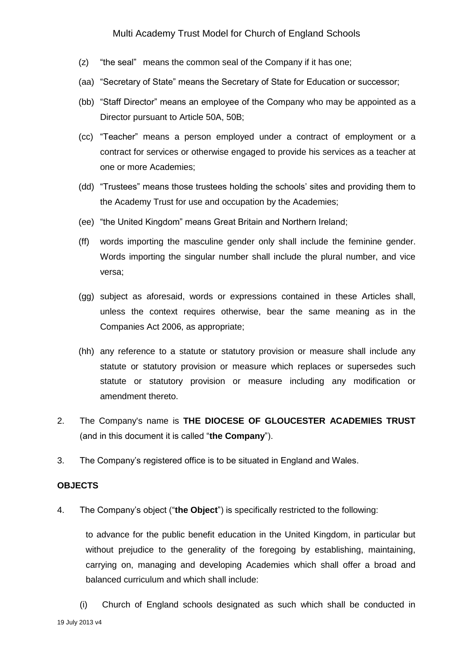- (z) "the seal" means the common seal of the Company if it has one;
- (aa) "Secretary of State" means the Secretary of State for Education or successor;
- (bb) "Staff Director" means an employee of the Company who may be appointed as a Director pursuant to Article 50A, 50B;
- (cc) "Teacher" means a person employed under a contract of employment or a contract for services or otherwise engaged to provide his services as a teacher at one or more Academies;
- (dd) "Trustees" means those trustees holding the schools' sites and providing them to the Academy Trust for use and occupation by the Academies;
- (ee) "the United Kingdom" means Great Britain and Northern Ireland;
- (ff) words importing the masculine gender only shall include the feminine gender. Words importing the singular number shall include the plural number, and vice versa;
- (gg) subject as aforesaid, words or expressions contained in these Articles shall, unless the context requires otherwise, bear the same meaning as in the Companies Act 2006, as appropriate;
- (hh) any reference to a statute or statutory provision or measure shall include any statute or statutory provision or measure which replaces or supersedes such statute or statutory provision or measure including any modification or amendment thereto.
- 2. The Company's name is **THE DIOCESE OF GLOUCESTER ACADEMIES TRUST** (and in this document it is called "**the Company**").
- 3. The Company's registered office is to be situated in England and Wales.

#### **OBJECTS**

4. The Company's object ("**the Object**") is specifically restricted to the following:

to advance for the public benefit education in the United Kingdom, in particular but without prejudice to the generality of the foregoing by establishing, maintaining, carrying on, managing and developing Academies which shall offer a broad and balanced curriculum and which shall include:

19 July 2013 v4 (i) Church of England schools designated as such which shall be conducted in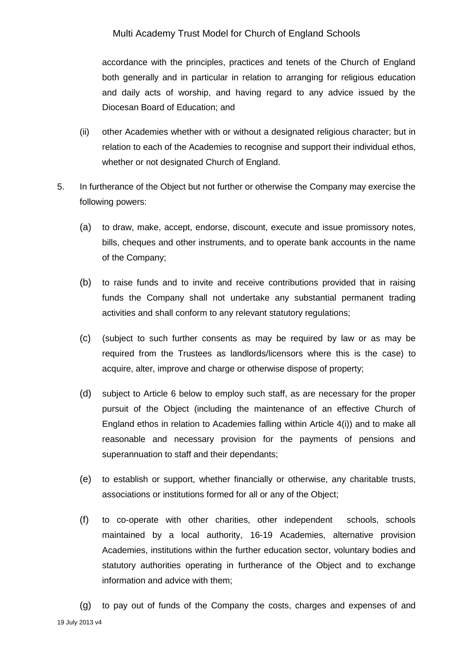accordance with the principles, practices and tenets of the Church of England both generally and in particular in relation to arranging for religious education and daily acts of worship, and having regard to any advice issued by the Diocesan Board of Education; and

- (ii) other Academies whether with or without a designated religious character; but in relation to each of the Academies to recognise and support their individual ethos, whether or not designated Church of England.
- 5. In furtherance of the Object but not further or otherwise the Company may exercise the following powers:
	- (a) to draw, make, accept, endorse, discount, execute and issue promissory notes, bills, cheques and other instruments, and to operate bank accounts in the name of the Company;
	- (b) to raise funds and to invite and receive contributions provided that in raising funds the Company shall not undertake any substantial permanent trading activities and shall conform to any relevant statutory regulations;
	- (c) (subject to such further consents as may be required by law or as may be required from the Trustees as landlords/licensors where this is the case) to acquire, alter, improve and charge or otherwise dispose of property;
	- (d) subject to Article 6 below to employ such staff, as are necessary for the proper pursuit of the Object (including the maintenance of an effective Church of England ethos in relation to Academies falling within Article 4(i)) and to make all reasonable and necessary provision for the payments of pensions and superannuation to staff and their dependants;
	- (e) to establish or support, whether financially or otherwise, any charitable trusts, associations or institutions formed for all or any of the Object;
	- (f) to co-operate with other charities, other independent schools, schools maintained by a local authority, 16-19 Academies, alternative provision Academies, institutions within the further education sector, voluntary bodies and statutory authorities operating in furtherance of the Object and to exchange information and advice with them;

19 July 2013 v4 (g) to pay out of funds of the Company the costs, charges and expenses of and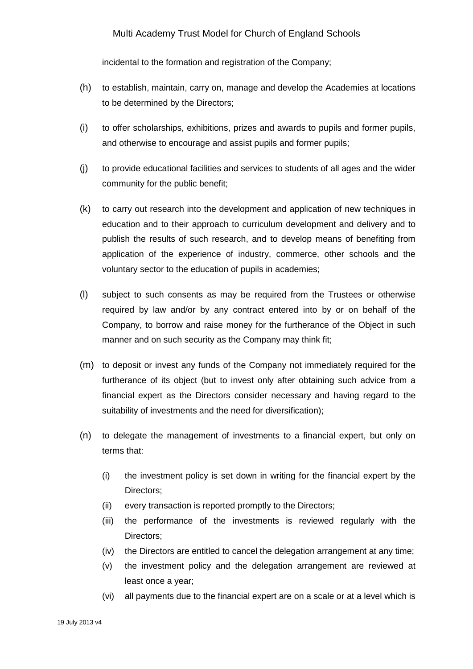incidental to the formation and registration of the Company;

- (h) to establish, maintain, carry on, manage and develop the Academies at locations to be determined by the Directors;
- (i) to offer scholarships, exhibitions, prizes and awards to pupils and former pupils, and otherwise to encourage and assist pupils and former pupils;
- (j) to provide educational facilities and services to students of all ages and the wider community for the public benefit;
- (k) to carry out research into the development and application of new techniques in education and to their approach to curriculum development and delivery and to publish the results of such research, and to develop means of benefiting from application of the experience of industry, commerce, other schools and the voluntary sector to the education of pupils in academies;
- (l) subject to such consents as may be required from the Trustees or otherwise required by law and/or by any contract entered into by or on behalf of the Company, to borrow and raise money for the furtherance of the Object in such manner and on such security as the Company may think fit;
- (m) to deposit or invest any funds of the Company not immediately required for the furtherance of its object (but to invest only after obtaining such advice from a financial expert as the Directors consider necessary and having regard to the suitability of investments and the need for diversification);
- (n) to delegate the management of investments to a financial expert, but only on terms that:
	- (i) the investment policy is set down in writing for the financial expert by the Directors;
	- (ii) every transaction is reported promptly to the Directors;
	- (iii) the performance of the investments is reviewed regularly with the Directors;
	- (iv) the Directors are entitled to cancel the delegation arrangement at any time;
	- (v) the investment policy and the delegation arrangement are reviewed at least once a year;
	- (vi) all payments due to the financial expert are on a scale or at a level which is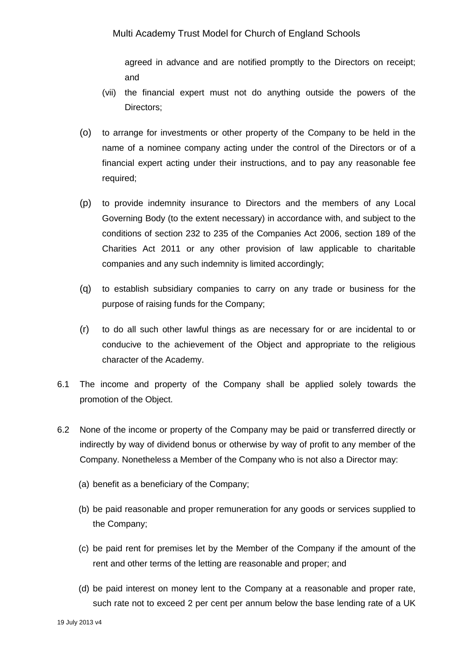agreed in advance and are notified promptly to the Directors on receipt; and

- (vii) the financial expert must not do anything outside the powers of the Directors;
- (o) to arrange for investments or other property of the Company to be held in the name of a nominee company acting under the control of the Directors or of a financial expert acting under their instructions, and to pay any reasonable fee required;
- (p) to provide indemnity insurance to Directors and the members of any Local Governing Body (to the extent necessary) in accordance with, and subject to the conditions of section 232 to 235 of the Companies Act 2006, section 189 of the Charities Act 2011 or any other provision of law applicable to charitable companies and any such indemnity is limited accordingly;
- (q) to establish subsidiary companies to carry on any trade or business for the purpose of raising funds for the Company;
- (r) to do all such other lawful things as are necessary for or are incidental to or conducive to the achievement of the Object and appropriate to the religious character of the Academy.
- 6.1 The income and property of the Company shall be applied solely towards the promotion of the Object.
- 6.2 None of the income or property of the Company may be paid or transferred directly or indirectly by way of dividend bonus or otherwise by way of profit to any member of the Company. Nonetheless a Member of the Company who is not also a Director may:
	- (a) benefit as a beneficiary of the Company;
	- (b) be paid reasonable and proper remuneration for any goods or services supplied to the Company;
	- (c) be paid rent for premises let by the Member of the Company if the amount of the rent and other terms of the letting are reasonable and proper; and
	- (d) be paid interest on money lent to the Company at a reasonable and proper rate, such rate not to exceed 2 per cent per annum below the base lending rate of a UK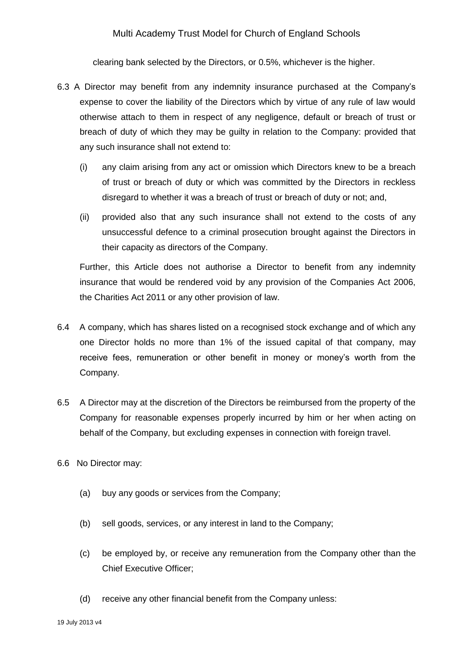clearing bank selected by the Directors, or 0.5%, whichever is the higher.

- 6.3 A Director may benefit from any indemnity insurance purchased at the Company's expense to cover the liability of the Directors which by virtue of any rule of law would otherwise attach to them in respect of any negligence, default or breach of trust or breach of duty of which they may be guilty in relation to the Company: provided that any such insurance shall not extend to:
	- (i) any claim arising from any act or omission which Directors knew to be a breach of trust or breach of duty or which was committed by the Directors in reckless disregard to whether it was a breach of trust or breach of duty or not; and,
	- (ii) provided also that any such insurance shall not extend to the costs of any unsuccessful defence to a criminal prosecution brought against the Directors in their capacity as directors of the Company.

Further, this Article does not authorise a Director to benefit from any indemnity insurance that would be rendered void by any provision of the Companies Act 2006, the Charities Act 2011 or any other provision of law.

- 6.4 A company, which has shares listed on a recognised stock exchange and of which any one Director holds no more than 1% of the issued capital of that company, may receive fees, remuneration or other benefit in money or money's worth from the Company.
- 6.5 A Director may at the discretion of the Directors be reimbursed from the property of the Company for reasonable expenses properly incurred by him or her when acting on behalf of the Company, but excluding expenses in connection with foreign travel.
- 6.6 No Director may:
	- (a) buy any goods or services from the Company;
	- (b) sell goods, services, or any interest in land to the Company;
	- (c) be employed by, or receive any remuneration from the Company other than the Chief Executive Officer;
	- (d) receive any other financial benefit from the Company unless: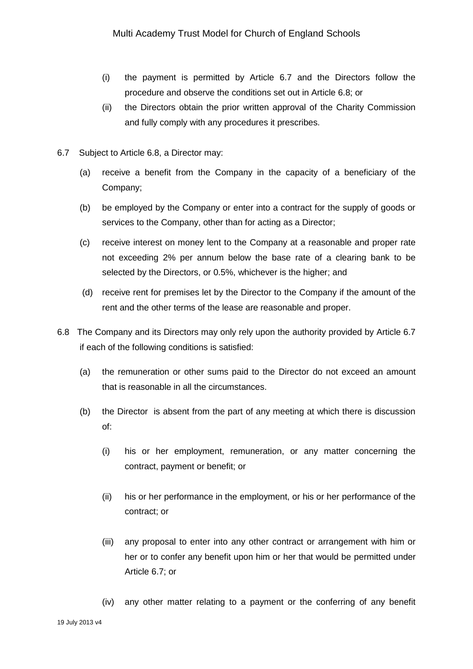- (i) the payment is permitted by Article 6.7 and the Directors follow the procedure and observe the conditions set out in Article 6.8; or
- (ii) the Directors obtain the prior written approval of the Charity Commission and fully comply with any procedures it prescribes.
- 6.7 Subject to Article 6.8, a Director may:
	- (a) receive a benefit from the Company in the capacity of a beneficiary of the Company;
	- (b) be employed by the Company or enter into a contract for the supply of goods or services to the Company, other than for acting as a Director;
	- (c) receive interest on money lent to the Company at a reasonable and proper rate not exceeding 2% per annum below the base rate of a clearing bank to be selected by the Directors, or 0.5%, whichever is the higher; and
	- (d) receive rent for premises let by the Director to the Company if the amount of the rent and the other terms of the lease are reasonable and proper.
- 6.8 The Company and its Directors may only rely upon the authority provided by Article 6.7 if each of the following conditions is satisfied:
	- (a) the remuneration or other sums paid to the Director do not exceed an amount that is reasonable in all the circumstances.
	- (b) the Director is absent from the part of any meeting at which there is discussion of:
		- (i) his or her employment, remuneration, or any matter concerning the contract, payment or benefit; or
		- (ii) his or her performance in the employment, or his or her performance of the contract; or
		- (iii) any proposal to enter into any other contract or arrangement with him or her or to confer any benefit upon him or her that would be permitted under Article 6.7; or
		- (iv) any other matter relating to a payment or the conferring of any benefit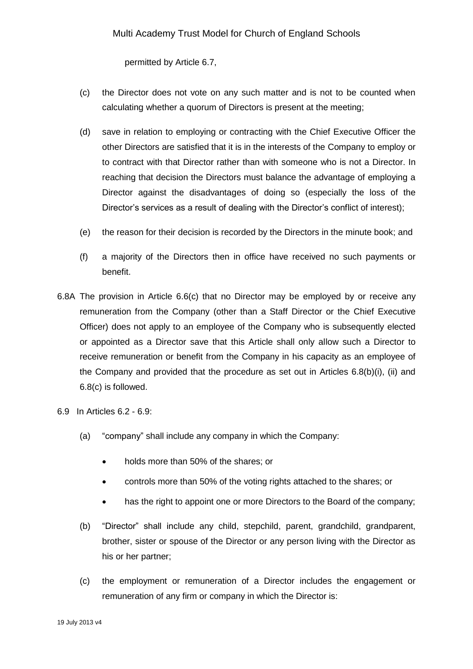permitted by Article 6.7,

- (c) the Director does not vote on any such matter and is not to be counted when calculating whether a quorum of Directors is present at the meeting;
- (d) save in relation to employing or contracting with the Chief Executive Officer the other Directors are satisfied that it is in the interests of the Company to employ or to contract with that Director rather than with someone who is not a Director. In reaching that decision the Directors must balance the advantage of employing a Director against the disadvantages of doing so (especially the loss of the Director's services as a result of dealing with the Director's conflict of interest);
- (e) the reason for their decision is recorded by the Directors in the minute book; and
- (f) a majority of the Directors then in office have received no such payments or benefit.
- 6.8A The provision in Article 6.6(c) that no Director may be employed by or receive any remuneration from the Company (other than a Staff Director or the Chief Executive Officer) does not apply to an employee of the Company who is subsequently elected or appointed as a Director save that this Article shall only allow such a Director to receive remuneration or benefit from the Company in his capacity as an employee of the Company and provided that the procedure as set out in Articles 6.8(b)(i), (ii) and 6.8(c) is followed.

6.9 In Articles 6.2 - 6.9:

- (a) "company" shall include any company in which the Company:
	- holds more than 50% of the shares; or
	- controls more than 50% of the voting rights attached to the shares; or
	- has the right to appoint one or more Directors to the Board of the company:
- (b) "Director" shall include any child, stepchild, parent, grandchild, grandparent, brother, sister or spouse of the Director or any person living with the Director as his or her partner;
- (c) the employment or remuneration of a Director includes the engagement or remuneration of any firm or company in which the Director is: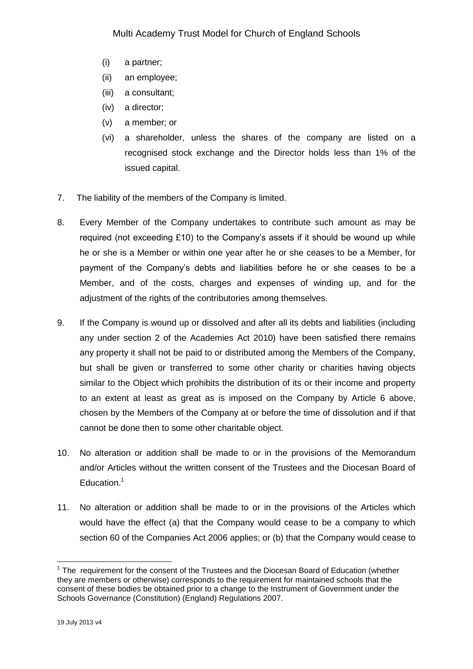- (i) a partner;
- (ii) an employee;
- (iii) a consultant;
- (iv) a director;
- (v) a member; or
- (vi) a shareholder, unless the shares of the company are listed on a recognised stock exchange and the Director holds less than 1% of the issued capital.
- 7. The liability of the members of the Company is limited.
- 8. Every Member of the Company undertakes to contribute such amount as may be required (not exceeding £10) to the Company's assets if it should be wound up while he or she is a Member or within one year after he or she ceases to be a Member, for payment of the Company's debts and liabilities before he or she ceases to be a Member, and of the costs, charges and expenses of winding up, and for the adjustment of the rights of the contributories among themselves.
- 9. If the Company is wound up or dissolved and after all its debts and liabilities (including any under section 2 of the Academies Act 2010) have been satisfied there remains any property it shall not be paid to or distributed among the Members of the Company, but shall be given or transferred to some other charity or charities having objects similar to the Object which prohibits the distribution of its or their income and property to an extent at least as great as is imposed on the Company by Article 6 above, chosen by the Members of the Company at or before the time of dissolution and if that cannot be done then to some other charitable object.
- 10. No alteration or addition shall be made to or in the provisions of the Memorandum and/or Articles without the written consent of the Trustees and the Diocesan Board of Education.<sup>1</sup>
- 11. No alteration or addition shall be made to or in the provisions of the Articles which would have the effect (a) that the Company would cease to be a company to which section 60 of the Companies Act 2006 applies; or (b) that the Company would cease to

1

 $1$  The requirement for the consent of the Trustees and the Diocesan Board of Education (whether they are members or otherwise) corresponds to the requirement for maintained schools that the consent of these bodies be obtained prior to a change to the Instrument of Government under the Schools Governance (Constitution) (England) Regulations 2007.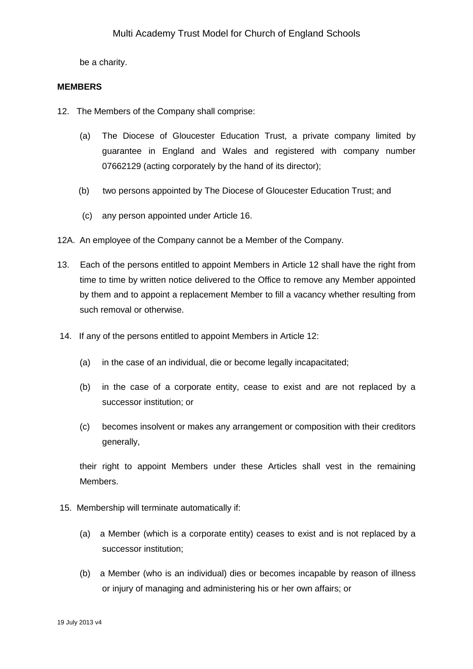be a charity.

#### **MEMBERS**

- 12. The Members of the Company shall comprise:
	- (a) The Diocese of Gloucester Education Trust, a private company limited by guarantee in England and Wales and registered with company number 07662129 (acting corporately by the hand of its director);
	- (b) two persons appointed by The Diocese of Gloucester Education Trust; and
	- (c) any person appointed under Article 16.
- 12A. An employee of the Company cannot be a Member of the Company.
- 13. Each of the persons entitled to appoint Members in Article 12 shall have the right from time to time by written notice delivered to the Office to remove any Member appointed by them and to appoint a replacement Member to fill a vacancy whether resulting from such removal or otherwise.
- 14. If any of the persons entitled to appoint Members in Article 12:
	- (a) in the case of an individual, die or become legally incapacitated;
	- (b) in the case of a corporate entity, cease to exist and are not replaced by a successor institution; or
	- (c) becomes insolvent or makes any arrangement or composition with their creditors generally,

their right to appoint Members under these Articles shall vest in the remaining Members.

- 15. Membership will terminate automatically if:
	- (a) a Member (which is a corporate entity) ceases to exist and is not replaced by a successor institution;
	- (b) a Member (who is an individual) dies or becomes incapable by reason of illness or injury of managing and administering his or her own affairs; or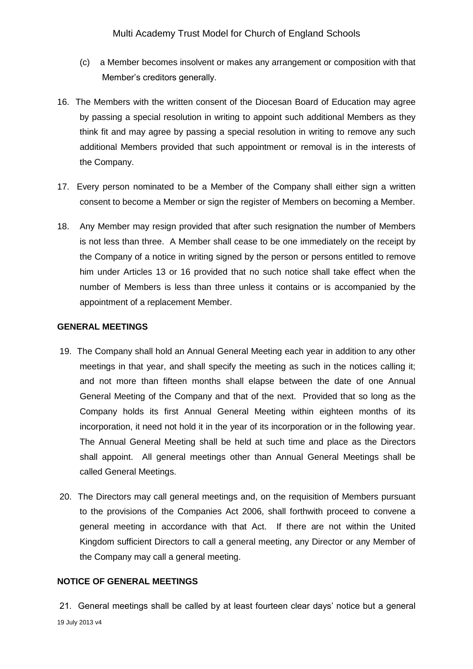- (c) a Member becomes insolvent or makes any arrangement or composition with that Member's creditors generally.
- 16. The Members with the written consent of the Diocesan Board of Education may agree by passing a special resolution in writing to appoint such additional Members as they think fit and may agree by passing a special resolution in writing to remove any such additional Members provided that such appointment or removal is in the interests of the Company.
- 17. Every person nominated to be a Member of the Company shall either sign a written consent to become a Member or sign the register of Members on becoming a Member.
- 18. Any Member may resign provided that after such resignation the number of Members is not less than three. A Member shall cease to be one immediately on the receipt by the Company of a notice in writing signed by the person or persons entitled to remove him under Articles 13 or 16 provided that no such notice shall take effect when the number of Members is less than three unless it contains or is accompanied by the appointment of a replacement Member.

### **GENERAL MEETINGS**

- 19. The Company shall hold an Annual General Meeting each year in addition to any other meetings in that year, and shall specify the meeting as such in the notices calling it; and not more than fifteen months shall elapse between the date of one Annual General Meeting of the Company and that of the next. Provided that so long as the Company holds its first Annual General Meeting within eighteen months of its incorporation, it need not hold it in the year of its incorporation or in the following year. The Annual General Meeting shall be held at such time and place as the Directors shall appoint. All general meetings other than Annual General Meetings shall be called General Meetings.
- 20. The Directors may call general meetings and, on the requisition of Members pursuant to the provisions of the Companies Act 2006, shall forthwith proceed to convene a general meeting in accordance with that Act. If there are not within the United Kingdom sufficient Directors to call a general meeting, any Director or any Member of the Company may call a general meeting.

# **NOTICE OF GENERAL MEETINGS**

19 July 2013 v4 21. General meetings shall be called by at least fourteen clear days' notice but a general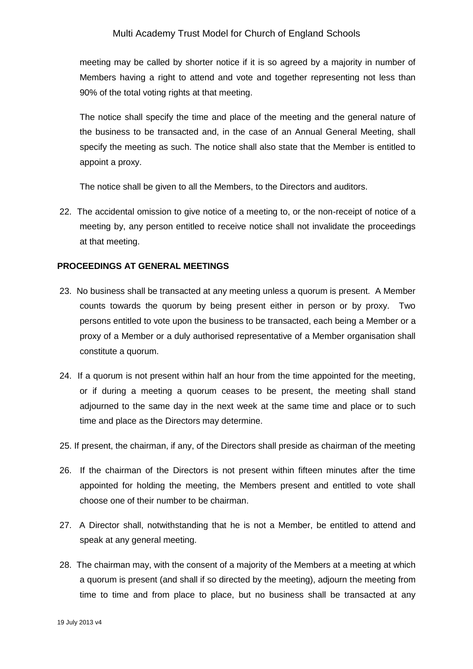meeting may be called by shorter notice if it is so agreed by a majority in number of Members having a right to attend and vote and together representing not less than 90% of the total voting rights at that meeting.

The notice shall specify the time and place of the meeting and the general nature of the business to be transacted and, in the case of an Annual General Meeting, shall specify the meeting as such. The notice shall also state that the Member is entitled to appoint a proxy.

The notice shall be given to all the Members, to the Directors and auditors.

22. The accidental omission to give notice of a meeting to, or the non-receipt of notice of a meeting by, any person entitled to receive notice shall not invalidate the proceedings at that meeting.

### **PROCEEDINGS AT GENERAL MEETINGS**

- 23. No business shall be transacted at any meeting unless a quorum is present. A Member counts towards the quorum by being present either in person or by proxy. Two persons entitled to vote upon the business to be transacted, each being a Member or a proxy of a Member or a duly authorised representative of a Member organisation shall constitute a quorum.
- 24. If a quorum is not present within half an hour from the time appointed for the meeting, or if during a meeting a quorum ceases to be present, the meeting shall stand adjourned to the same day in the next week at the same time and place or to such time and place as the Directors may determine.
- 25. If present, the chairman, if any, of the Directors shall preside as chairman of the meeting
- 26. If the chairman of the Directors is not present within fifteen minutes after the time appointed for holding the meeting, the Members present and entitled to vote shall choose one of their number to be chairman.
- 27. A Director shall, notwithstanding that he is not a Member, be entitled to attend and speak at any general meeting.
- 28. The chairman may, with the consent of a majority of the Members at a meeting at which a quorum is present (and shall if so directed by the meeting), adjourn the meeting from time to time and from place to place, but no business shall be transacted at any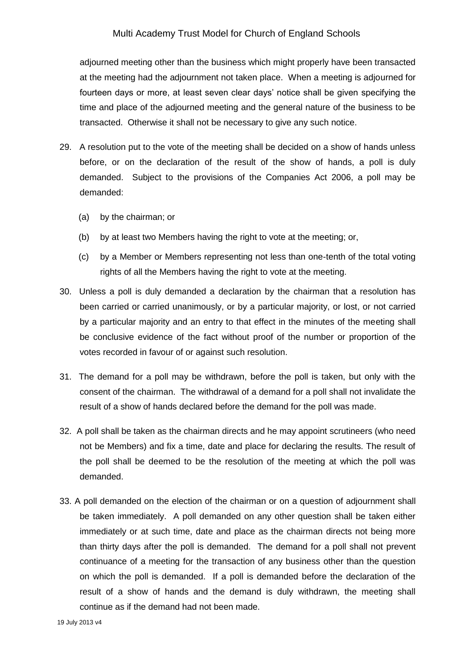adjourned meeting other than the business which might properly have been transacted at the meeting had the adjournment not taken place. When a meeting is adjourned for fourteen days or more, at least seven clear days' notice shall be given specifying the time and place of the adjourned meeting and the general nature of the business to be transacted. Otherwise it shall not be necessary to give any such notice.

- 29. A resolution put to the vote of the meeting shall be decided on a show of hands unless before, or on the declaration of the result of the show of hands, a poll is duly demanded. Subject to the provisions of the Companies Act 2006, a poll may be demanded:
	- (a) by the chairman; or
	- (b) by at least two Members having the right to vote at the meeting; or,
	- (c) by a Member or Members representing not less than one-tenth of the total voting rights of all the Members having the right to vote at the meeting.
- 30. Unless a poll is duly demanded a declaration by the chairman that a resolution has been carried or carried unanimously, or by a particular majority, or lost, or not carried by a particular majority and an entry to that effect in the minutes of the meeting shall be conclusive evidence of the fact without proof of the number or proportion of the votes recorded in favour of or against such resolution.
- 31. The demand for a poll may be withdrawn, before the poll is taken, but only with the consent of the chairman. The withdrawal of a demand for a poll shall not invalidate the result of a show of hands declared before the demand for the poll was made.
- 32. A poll shall be taken as the chairman directs and he may appoint scrutineers (who need not be Members) and fix a time, date and place for declaring the results. The result of the poll shall be deemed to be the resolution of the meeting at which the poll was demanded.
- 33. A poll demanded on the election of the chairman or on a question of adjournment shall be taken immediately. A poll demanded on any other question shall be taken either immediately or at such time, date and place as the chairman directs not being more than thirty days after the poll is demanded. The demand for a poll shall not prevent continuance of a meeting for the transaction of any business other than the question on which the poll is demanded. If a poll is demanded before the declaration of the result of a show of hands and the demand is duly withdrawn, the meeting shall continue as if the demand had not been made.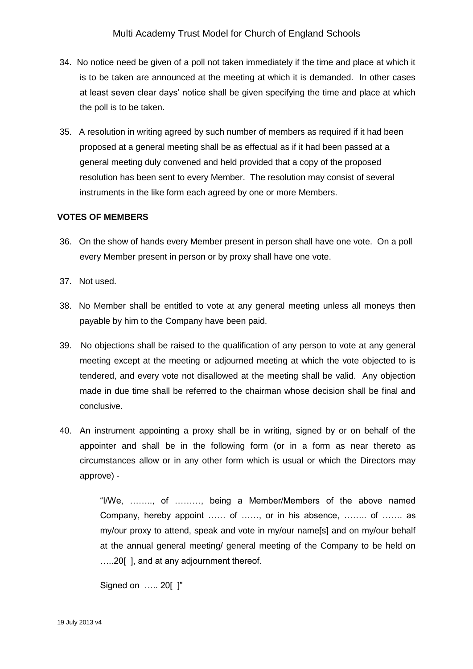- 34. No notice need be given of a poll not taken immediately if the time and place at which it is to be taken are announced at the meeting at which it is demanded. In other cases at least seven clear days' notice shall be given specifying the time and place at which the poll is to be taken.
- 35. A resolution in writing agreed by such number of members as required if it had been proposed at a general meeting shall be as effectual as if it had been passed at a general meeting duly convened and held provided that a copy of the proposed resolution has been sent to every Member. The resolution may consist of several instruments in the like form each agreed by one or more Members.

#### **VOTES OF MEMBERS**

- 36. On the show of hands every Member present in person shall have one vote. On a poll every Member present in person or by proxy shall have one vote.
- 37. Not used.
- 38. No Member shall be entitled to vote at any general meeting unless all moneys then payable by him to the Company have been paid.
- 39. No objections shall be raised to the qualification of any person to vote at any general meeting except at the meeting or adjourned meeting at which the vote objected to is tendered, and every vote not disallowed at the meeting shall be valid. Any objection made in due time shall be referred to the chairman whose decision shall be final and conclusive.
- 40. An instrument appointing a proxy shall be in writing, signed by or on behalf of the appointer and shall be in the following form (or in a form as near thereto as circumstances allow or in any other form which is usual or which the Directors may approve) -

"I/We, …….., of ………, being a Member/Members of the above named Company, hereby appoint …… of ……, or in his absence, …….. of ……. as my/our proxy to attend, speak and vote in my/our name[s] and on my/our behalf at the annual general meeting/ general meeting of the Company to be held on …..20[ ], and at any adjournment thereof.

Signed on ….. 20[ ]"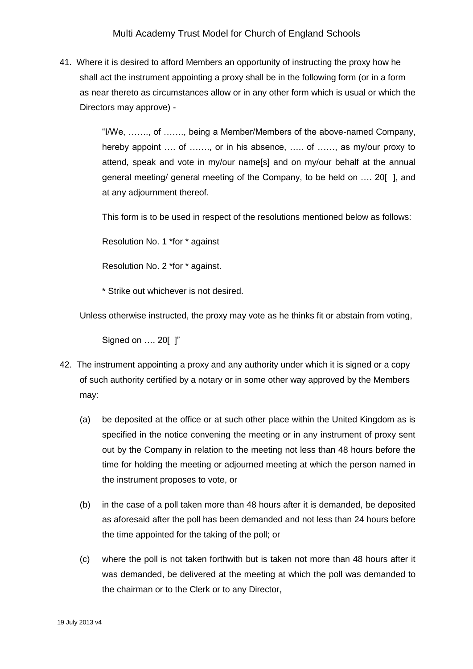41. Where it is desired to afford Members an opportunity of instructing the proxy how he shall act the instrument appointing a proxy shall be in the following form (or in a form as near thereto as circumstances allow or in any other form which is usual or which the Directors may approve) -

> "I/We, ……., of ……., being a Member/Members of the above-named Company, hereby appoint .... of ......., or in his absence, ..... of ......, as my/our proxy to attend, speak and vote in my/our name[s] and on my/our behalf at the annual general meeting/ general meeting of the Company, to be held on …. 20[ ], and at any adjournment thereof.

This form is to be used in respect of the resolutions mentioned below as follows:

Resolution No. 1 \*for \* against

Resolution No. 2 \*for \* against.

\* Strike out whichever is not desired.

Unless otherwise instructed, the proxy may vote as he thinks fit or abstain from voting,

Signed on …. 20[ ]"

- 42. The instrument appointing a proxy and any authority under which it is signed or a copy of such authority certified by a notary or in some other way approved by the Members may:
	- (a) be deposited at the office or at such other place within the United Kingdom as is specified in the notice convening the meeting or in any instrument of proxy sent out by the Company in relation to the meeting not less than 48 hours before the time for holding the meeting or adjourned meeting at which the person named in the instrument proposes to vote, or
	- (b) in the case of a poll taken more than 48 hours after it is demanded, be deposited as aforesaid after the poll has been demanded and not less than 24 hours before the time appointed for the taking of the poll; or
	- (c) where the poll is not taken forthwith but is taken not more than 48 hours after it was demanded, be delivered at the meeting at which the poll was demanded to the chairman or to the Clerk or to any Director,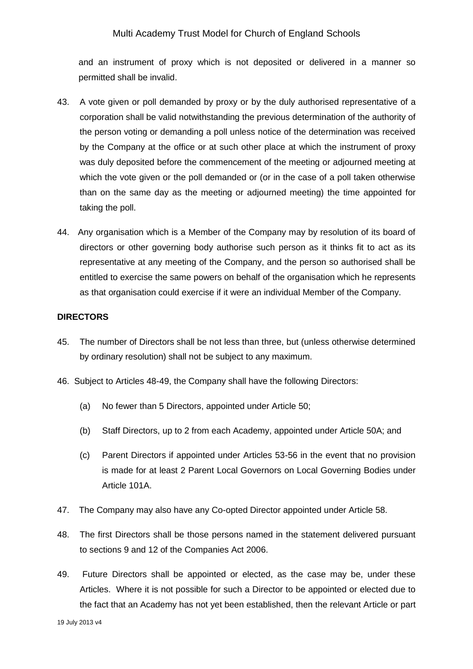and an instrument of proxy which is not deposited or delivered in a manner so permitted shall be invalid.

- 43. A vote given or poll demanded by proxy or by the duly authorised representative of a corporation shall be valid notwithstanding the previous determination of the authority of the person voting or demanding a poll unless notice of the determination was received by the Company at the office or at such other place at which the instrument of proxy was duly deposited before the commencement of the meeting or adjourned meeting at which the vote given or the poll demanded or (or in the case of a poll taken otherwise than on the same day as the meeting or adjourned meeting) the time appointed for taking the poll.
- 44. Any organisation which is a Member of the Company may by resolution of its board of directors or other governing body authorise such person as it thinks fit to act as its representative at any meeting of the Company, and the person so authorised shall be entitled to exercise the same powers on behalf of the organisation which he represents as that organisation could exercise if it were an individual Member of the Company.

#### **DIRECTORS**

- 45. The number of Directors shall be not less than three, but (unless otherwise determined by ordinary resolution) shall not be subject to any maximum.
- 46. Subject to Articles 48-49, the Company shall have the following Directors:
	- (a) No fewer than 5 Directors, appointed under Article 50;
	- (b) Staff Directors, up to 2 from each Academy, appointed under Article 50A; and
	- (c) Parent Directors if appointed under Articles 53-56 in the event that no provision is made for at least 2 Parent Local Governors on Local Governing Bodies under Article 101A.
- 47. The Company may also have any Co-opted Director appointed under Article 58.
- 48. The first Directors shall be those persons named in the statement delivered pursuant to sections 9 and 12 of the Companies Act 2006.
- 49. Future Directors shall be appointed or elected, as the case may be, under these Articles. Where it is not possible for such a Director to be appointed or elected due to the fact that an Academy has not yet been established, then the relevant Article or part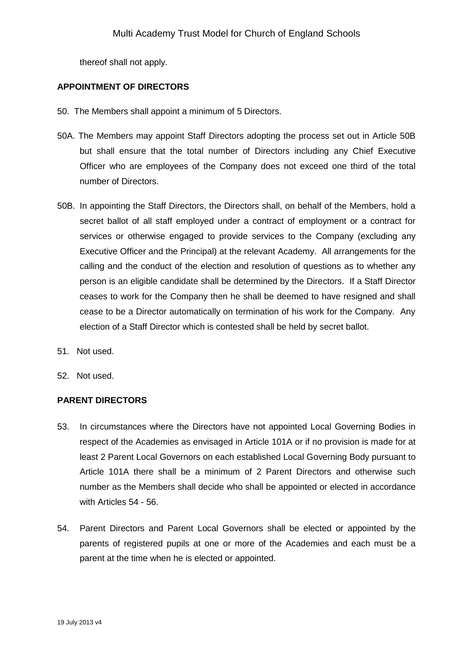thereof shall not apply.

### **APPOINTMENT OF DIRECTORS**

- 50. The Members shall appoint a minimum of 5 Directors.
- 50A. The Members may appoint Staff Directors adopting the process set out in Article 50B but shall ensure that the total number of Directors including any Chief Executive Officer who are employees of the Company does not exceed one third of the total number of Directors.
- 50B. In appointing the Staff Directors, the Directors shall, on behalf of the Members, hold a secret ballot of all staff employed under a contract of employment or a contract for services or otherwise engaged to provide services to the Company (excluding any Executive Officer and the Principal) at the relevant Academy. All arrangements for the calling and the conduct of the election and resolution of questions as to whether any person is an eligible candidate shall be determined by the Directors. If a Staff Director ceases to work for the Company then he shall be deemed to have resigned and shall cease to be a Director automatically on termination of his work for the Company. Any election of a Staff Director which is contested shall be held by secret ballot.
- 51. Not used.
- 52. Not used.

# **PARENT DIRECTORS**

- 53. In circumstances where the Directors have not appointed Local Governing Bodies in respect of the Academies as envisaged in Article 101A or if no provision is made for at least 2 Parent Local Governors on each established Local Governing Body pursuant to Article 101A there shall be a minimum of 2 Parent Directors and otherwise such number as the Members shall decide who shall be appointed or elected in accordance with Articles 54 - 56.
- 54. Parent Directors and Parent Local Governors shall be elected or appointed by the parents of registered pupils at one or more of the Academies and each must be a parent at the time when he is elected or appointed.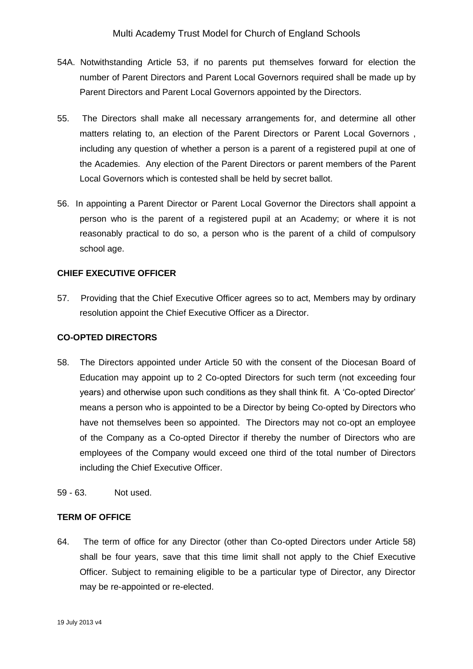- 54A. Notwithstanding Article 53, if no parents put themselves forward for election the number of Parent Directors and Parent Local Governors required shall be made up by Parent Directors and Parent Local Governors appointed by the Directors.
- 55. The Directors shall make all necessary arrangements for, and determine all other matters relating to, an election of the Parent Directors or Parent Local Governors , including any question of whether a person is a parent of a registered pupil at one of the Academies. Any election of the Parent Directors or parent members of the Parent Local Governors which is contested shall be held by secret ballot.
- 56. In appointing a Parent Director or Parent Local Governor the Directors shall appoint a person who is the parent of a registered pupil at an Academy; or where it is not reasonably practical to do so, a person who is the parent of a child of compulsory school age.

# **CHIEF EXECUTIVE OFFICER**

57. Providing that the Chief Executive Officer agrees so to act, Members may by ordinary resolution appoint the Chief Executive Officer as a Director.

### **CO-OPTED DIRECTORS**

- 58. The Directors appointed under Article 50 with the consent of the Diocesan Board of Education may appoint up to 2 Co-opted Directors for such term (not exceeding four years) and otherwise upon such conditions as they shall think fit. A 'Co-opted Director' means a person who is appointed to be a Director by being Co-opted by Directors who have not themselves been so appointed. The Directors may not co-opt an employee of the Company as a Co-opted Director if thereby the number of Directors who are employees of the Company would exceed one third of the total number of Directors including the Chief Executive Officer.
- 59 63. Not used.

### **TERM OF OFFICE**

64. The term of office for any Director (other than Co-opted Directors under Article 58) shall be four years, save that this time limit shall not apply to the Chief Executive Officer. Subject to remaining eligible to be a particular type of Director, any Director may be re-appointed or re-elected.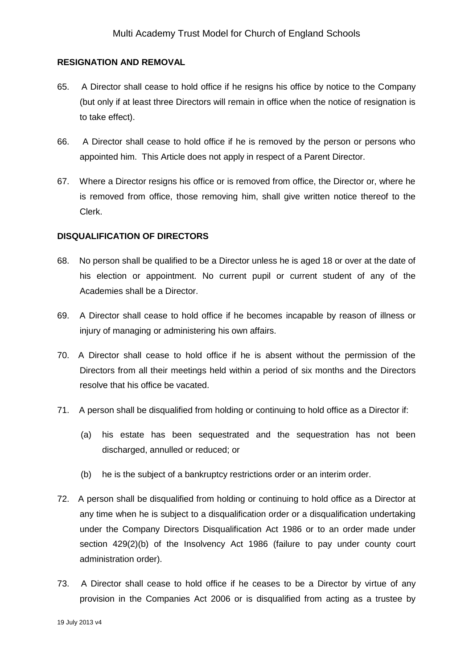#### **RESIGNATION AND REMOVAL**

- 65. A Director shall cease to hold office if he resigns his office by notice to the Company (but only if at least three Directors will remain in office when the notice of resignation is to take effect).
- 66. A Director shall cease to hold office if he is removed by the person or persons who appointed him. This Article does not apply in respect of a Parent Director.
- 67. Where a Director resigns his office or is removed from office, the Director or, where he is removed from office, those removing him, shall give written notice thereof to the Clerk.

#### **DISQUALIFICATION OF DIRECTORS**

- 68. No person shall be qualified to be a Director unless he is aged 18 or over at the date of his election or appointment. No current pupil or current student of any of the Academies shall be a Director.
- 69. A Director shall cease to hold office if he becomes incapable by reason of illness or injury of managing or administering his own affairs.
- 70. A Director shall cease to hold office if he is absent without the permission of the Directors from all their meetings held within a period of six months and the Directors resolve that his office be vacated.
- 71. A person shall be disqualified from holding or continuing to hold office as a Director if:
	- (a) his estate has been sequestrated and the sequestration has not been discharged, annulled or reduced; or
	- (b) he is the subject of a bankruptcy restrictions order or an interim order.
- 72. A person shall be disqualified from holding or continuing to hold office as a Director at any time when he is subject to a disqualification order or a disqualification undertaking under the Company Directors Disqualification Act 1986 or to an order made under section 429(2)(b) of the Insolvency Act 1986 (failure to pay under county court administration order).
- 73. A Director shall cease to hold office if he ceases to be a Director by virtue of any provision in the Companies Act 2006 or is disqualified from acting as a trustee by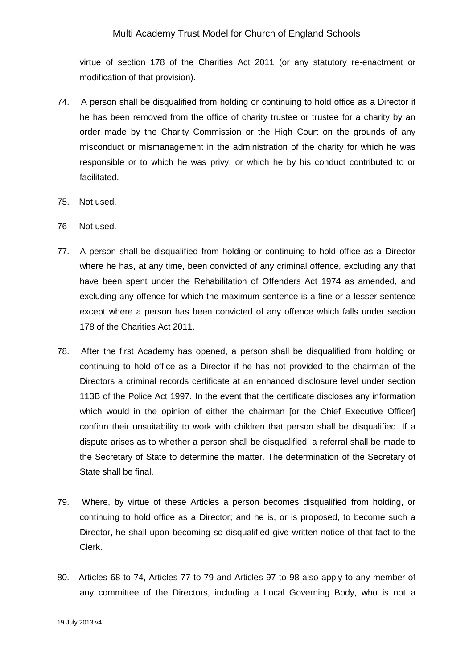virtue of section 178 of the Charities Act 2011 (or any statutory re-enactment or modification of that provision).

- 74. A person shall be disqualified from holding or continuing to hold office as a Director if he has been removed from the office of charity trustee or trustee for a charity by an order made by the Charity Commission or the High Court on the grounds of any misconduct or mismanagement in the administration of the charity for which he was responsible or to which he was privy, or which he by his conduct contributed to or facilitated.
- 75. Not used.
- 76 Not used.
- 77. A person shall be disqualified from holding or continuing to hold office as a Director where he has, at any time, been convicted of any criminal offence, excluding any that have been spent under the Rehabilitation of Offenders Act 1974 as amended, and excluding any offence for which the maximum sentence is a fine or a lesser sentence except where a person has been convicted of any offence which falls under section 178 of the Charities Act 2011.
- 78. After the first Academy has opened, a person shall be disqualified from holding or continuing to hold office as a Director if he has not provided to the chairman of the Directors a criminal records certificate at an enhanced disclosure level under section 113B of the Police Act 1997. In the event that the certificate discloses any information which would in the opinion of either the chairman [or the Chief Executive Officer] confirm their unsuitability to work with children that person shall be disqualified. If a dispute arises as to whether a person shall be disqualified, a referral shall be made to the Secretary of State to determine the matter. The determination of the Secretary of State shall be final.
- 79. Where, by virtue of these Articles a person becomes disqualified from holding, or continuing to hold office as a Director; and he is, or is proposed, to become such a Director, he shall upon becoming so disqualified give written notice of that fact to the Clerk.
- 80. Articles 68 to 74, Articles 77 to 79 and Articles 97 to 98 also apply to any member of any committee of the Directors, including a Local Governing Body, who is not a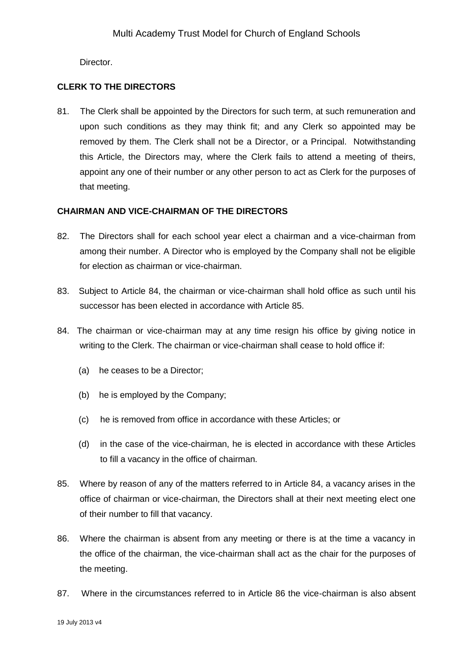Director.

# **CLERK TO THE DIRECTORS**

81. The Clerk shall be appointed by the Directors for such term, at such remuneration and upon such conditions as they may think fit; and any Clerk so appointed may be removed by them. The Clerk shall not be a Director, or a Principal. Notwithstanding this Article, the Directors may, where the Clerk fails to attend a meeting of theirs, appoint any one of their number or any other person to act as Clerk for the purposes of that meeting.

# **CHAIRMAN AND VICE-CHAIRMAN OF THE DIRECTORS**

- 82. The Directors shall for each school year elect a chairman and a vice-chairman from among their number. A Director who is employed by the Company shall not be eligible for election as chairman or vice-chairman.
- 83. Subject to Article 84, the chairman or vice-chairman shall hold office as such until his successor has been elected in accordance with Article 85.
- 84. The chairman or vice-chairman may at any time resign his office by giving notice in writing to the Clerk. The chairman or vice-chairman shall cease to hold office if:
	- (a) he ceases to be a Director;
	- (b) he is employed by the Company;
	- (c) he is removed from office in accordance with these Articles; or
	- (d) in the case of the vice-chairman, he is elected in accordance with these Articles to fill a vacancy in the office of chairman.
- 85. Where by reason of any of the matters referred to in Article 84, a vacancy arises in the office of chairman or vice-chairman, the Directors shall at their next meeting elect one of their number to fill that vacancy.
- 86. Where the chairman is absent from any meeting or there is at the time a vacancy in the office of the chairman, the vice-chairman shall act as the chair for the purposes of the meeting.
- 87. Where in the circumstances referred to in Article 86 the vice-chairman is also absent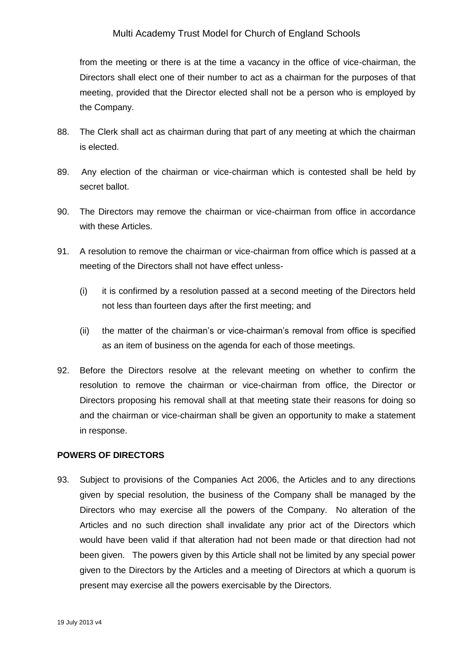from the meeting or there is at the time a vacancy in the office of vice-chairman, the Directors shall elect one of their number to act as a chairman for the purposes of that meeting, provided that the Director elected shall not be a person who is employed by the Company.

- 88. The Clerk shall act as chairman during that part of any meeting at which the chairman is elected.
- 89. Any election of the chairman or vice-chairman which is contested shall be held by secret ballot.
- 90. The Directors may remove the chairman or vice-chairman from office in accordance with these Articles.
- 91. A resolution to remove the chairman or vice-chairman from office which is passed at a meeting of the Directors shall not have effect unless-
	- (i) it is confirmed by a resolution passed at a second meeting of the Directors held not less than fourteen days after the first meeting; and
	- (ii) the matter of the chairman's or vice-chairman's removal from office is specified as an item of business on the agenda for each of those meetings.
- 92. Before the Directors resolve at the relevant meeting on whether to confirm the resolution to remove the chairman or vice-chairman from office, the Director or Directors proposing his removal shall at that meeting state their reasons for doing so and the chairman or vice-chairman shall be given an opportunity to make a statement in response.

### **POWERS OF DIRECTORS**

93. Subject to provisions of the Companies Act 2006, the Articles and to any directions given by special resolution, the business of the Company shall be managed by the Directors who may exercise all the powers of the Company. No alteration of the Articles and no such direction shall invalidate any prior act of the Directors which would have been valid if that alteration had not been made or that direction had not been given. The powers given by this Article shall not be limited by any special power given to the Directors by the Articles and a meeting of Directors at which a quorum is present may exercise all the powers exercisable by the Directors.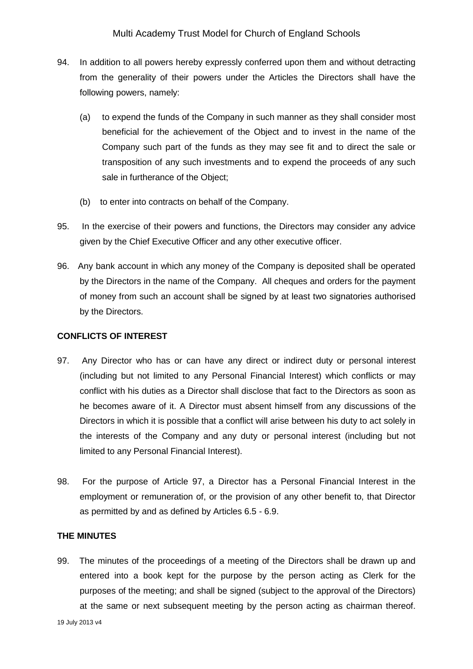- 94. In addition to all powers hereby expressly conferred upon them and without detracting from the generality of their powers under the Articles the Directors shall have the following powers, namely:
	- (a) to expend the funds of the Company in such manner as they shall consider most beneficial for the achievement of the Object and to invest in the name of the Company such part of the funds as they may see fit and to direct the sale or transposition of any such investments and to expend the proceeds of any such sale in furtherance of the Object;
	- (b) to enter into contracts on behalf of the Company.
- 95. In the exercise of their powers and functions, the Directors may consider any advice given by the Chief Executive Officer and any other executive officer.
- 96. Any bank account in which any money of the Company is deposited shall be operated by the Directors in the name of the Company. All cheques and orders for the payment of money from such an account shall be signed by at least two signatories authorised by the Directors.

### **CONFLICTS OF INTEREST**

- 97. Any Director who has or can have any direct or indirect duty or personal interest (including but not limited to any Personal Financial Interest) which conflicts or may conflict with his duties as a Director shall disclose that fact to the Directors as soon as he becomes aware of it. A Director must absent himself from any discussions of the Directors in which it is possible that a conflict will arise between his duty to act solely in the interests of the Company and any duty or personal interest (including but not limited to any Personal Financial Interest).
- 98. For the purpose of Article 97, a Director has a Personal Financial Interest in the employment or remuneration of, or the provision of any other benefit to, that Director as permitted by and as defined by Articles 6.5 - 6.9.

# **THE MINUTES**

99. The minutes of the proceedings of a meeting of the Directors shall be drawn up and entered into a book kept for the purpose by the person acting as Clerk for the purposes of the meeting; and shall be signed (subject to the approval of the Directors) at the same or next subsequent meeting by the person acting as chairman thereof.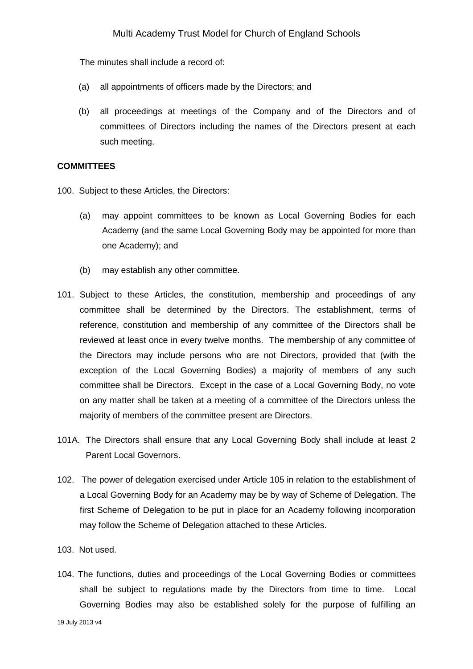The minutes shall include a record of:

- (a) all appointments of officers made by the Directors; and
- (b) all proceedings at meetings of the Company and of the Directors and of committees of Directors including the names of the Directors present at each such meeting.

#### **COMMITTEES**

100. Subject to these Articles, the Directors:

- (a) may appoint committees to be known as Local Governing Bodies for each Academy (and the same Local Governing Body may be appointed for more than one Academy); and
- (b) may establish any other committee.
- 101. Subject to these Articles, the constitution, membership and proceedings of any committee shall be determined by the Directors. The establishment, terms of reference, constitution and membership of any committee of the Directors shall be reviewed at least once in every twelve months. The membership of any committee of the Directors may include persons who are not Directors, provided that (with the exception of the Local Governing Bodies) a majority of members of any such committee shall be Directors. Except in the case of a Local Governing Body, no vote on any matter shall be taken at a meeting of a committee of the Directors unless the majority of members of the committee present are Directors.
- 101A. The Directors shall ensure that any Local Governing Body shall include at least 2 Parent Local Governors.
- 102. The power of delegation exercised under Article 105 in relation to the establishment of a Local Governing Body for an Academy may be by way of Scheme of Delegation. The first Scheme of Delegation to be put in place for an Academy following incorporation may follow the Scheme of Delegation attached to these Articles.
- 103. Not used.
- 104. The functions, duties and proceedings of the Local Governing Bodies or committees shall be subject to regulations made by the Directors from time to time. Local Governing Bodies may also be established solely for the purpose of fulfilling an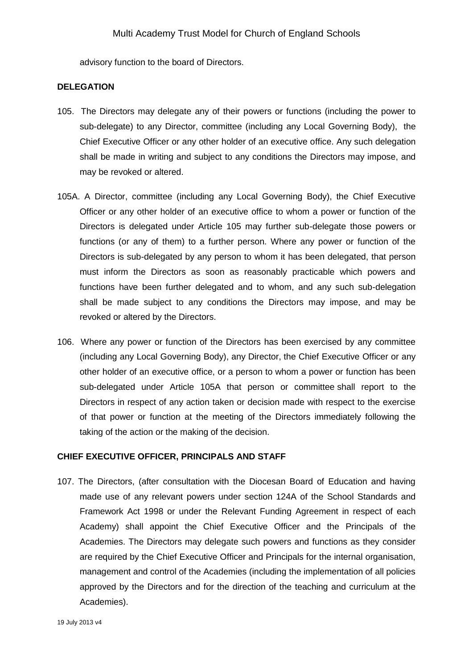advisory function to the board of Directors.

#### **DELEGATION**

- 105. The Directors may delegate any of their powers or functions (including the power to sub-delegate) to any Director, committee (including any Local Governing Body), the Chief Executive Officer or any other holder of an executive office. Any such delegation shall be made in writing and subject to any conditions the Directors may impose, and may be revoked or altered.
- 105A. A Director, committee (including any Local Governing Body), the Chief Executive Officer or any other holder of an executive office to whom a power or function of the Directors is delegated under Article 105 may further sub-delegate those powers or functions (or any of them) to a further person. Where any power or function of the Directors is sub-delegated by any person to whom it has been delegated, that person must inform the Directors as soon as reasonably practicable which powers and functions have been further delegated and to whom, and any such sub-delegation shall be made subject to any conditions the Directors may impose, and may be revoked or altered by the Directors.
- 106. Where any power or function of the Directors has been exercised by any committee (including any Local Governing Body), any Director, the Chief Executive Officer or any other holder of an executive office, or a person to whom a power or function has been sub-delegated under Article 105A that person or committee shall report to the Directors in respect of any action taken or decision made with respect to the exercise of that power or function at the meeting of the Directors immediately following the taking of the action or the making of the decision.

#### **CHIEF EXECUTIVE OFFICER, PRINCIPALS AND STAFF**

107. The Directors, (after consultation with the Diocesan Board of Education and having made use of any relevant powers under section 124A of the School Standards and Framework Act 1998 or under the Relevant Funding Agreement in respect of each Academy) shall appoint the Chief Executive Officer and the Principals of the Academies. The Directors may delegate such powers and functions as they consider are required by the Chief Executive Officer and Principals for the internal organisation, management and control of the Academies (including the implementation of all policies approved by the Directors and for the direction of the teaching and curriculum at the Academies).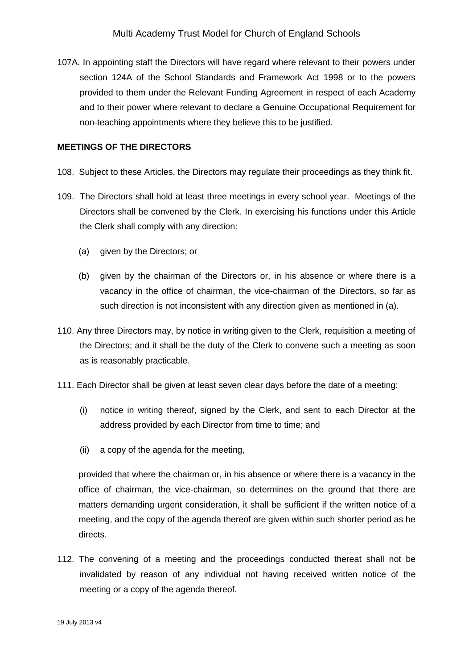107A. In appointing staff the Directors will have regard where relevant to their powers under section 124A of the School Standards and Framework Act 1998 or to the powers provided to them under the Relevant Funding Agreement in respect of each Academy and to their power where relevant to declare a Genuine Occupational Requirement for non-teaching appointments where they believe this to be justified.

### **MEETINGS OF THE DIRECTORS**

- 108. Subject to these Articles, the Directors may regulate their proceedings as they think fit.
- 109. The Directors shall hold at least three meetings in every school year. Meetings of the Directors shall be convened by the Clerk. In exercising his functions under this Article the Clerk shall comply with any direction:
	- (a) given by the Directors; or
	- (b) given by the chairman of the Directors or, in his absence or where there is a vacancy in the office of chairman, the vice-chairman of the Directors, so far as such direction is not inconsistent with any direction given as mentioned in (a).
- 110. Any three Directors may, by notice in writing given to the Clerk, requisition a meeting of the Directors; and it shall be the duty of the Clerk to convene such a meeting as soon as is reasonably practicable.
- 111. Each Director shall be given at least seven clear days before the date of a meeting:
	- (i) notice in writing thereof, signed by the Clerk, and sent to each Director at the address provided by each Director from time to time; and
	- (ii) a copy of the agenda for the meeting,

provided that where the chairman or, in his absence or where there is a vacancy in the office of chairman, the vice-chairman, so determines on the ground that there are matters demanding urgent consideration, it shall be sufficient if the written notice of a meeting, and the copy of the agenda thereof are given within such shorter period as he directs.

112. The convening of a meeting and the proceedings conducted thereat shall not be invalidated by reason of any individual not having received written notice of the meeting or a copy of the agenda thereof.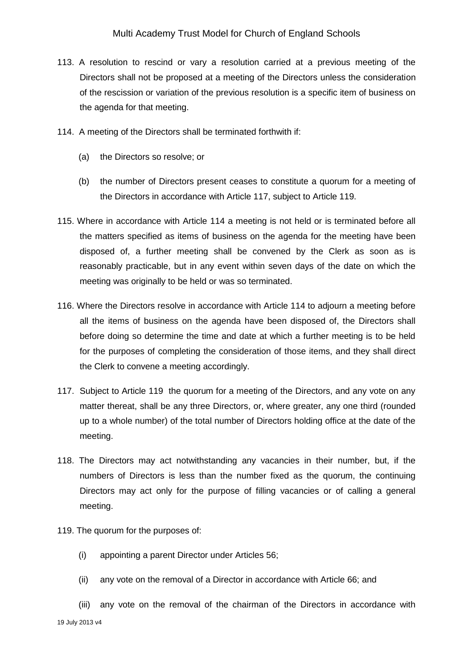- 113. A resolution to rescind or vary a resolution carried at a previous meeting of the Directors shall not be proposed at a meeting of the Directors unless the consideration of the rescission or variation of the previous resolution is a specific item of business on the agenda for that meeting.
- 114. A meeting of the Directors shall be terminated forthwith if:
	- (a) the Directors so resolve; or
	- (b) the number of Directors present ceases to constitute a quorum for a meeting of the Directors in accordance with Article 117, subject to Article 119.
- 115. Where in accordance with Article 114 a meeting is not held or is terminated before all the matters specified as items of business on the agenda for the meeting have been disposed of, a further meeting shall be convened by the Clerk as soon as is reasonably practicable, but in any event within seven days of the date on which the meeting was originally to be held or was so terminated.
- 116. Where the Directors resolve in accordance with Article 114 to adjourn a meeting before all the items of business on the agenda have been disposed of, the Directors shall before doing so determine the time and date at which a further meeting is to be held for the purposes of completing the consideration of those items, and they shall direct the Clerk to convene a meeting accordingly.
- 117. Subject to Article 119 the quorum for a meeting of the Directors, and any vote on any matter thereat, shall be any three Directors, or, where greater, any one third (rounded up to a whole number) of the total number of Directors holding office at the date of the meeting.
- 118. The Directors may act notwithstanding any vacancies in their number, but, if the numbers of Directors is less than the number fixed as the quorum, the continuing Directors may act only for the purpose of filling vacancies or of calling a general meeting.
- 119. The quorum for the purposes of:
	- (i) appointing a parent Director under Articles 56;
	- (ii) any vote on the removal of a Director in accordance with Article 66; and

19 July 2013 v4 (iii) any vote on the removal of the chairman of the Directors in accordance with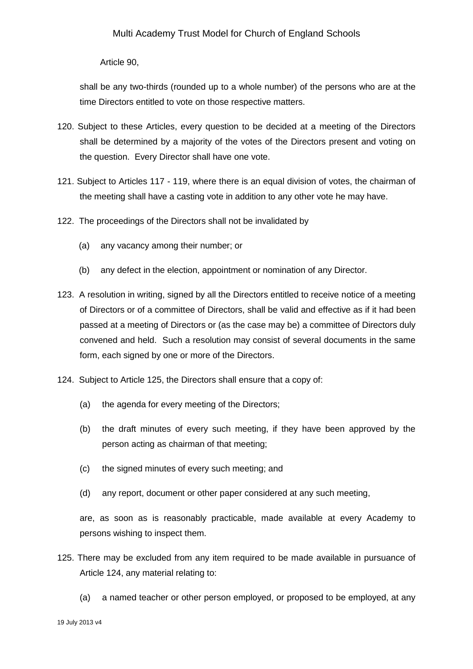Article 90,

shall be any two-thirds (rounded up to a whole number) of the persons who are at the time Directors entitled to vote on those respective matters.

- 120. Subject to these Articles, every question to be decided at a meeting of the Directors shall be determined by a majority of the votes of the Directors present and voting on the question. Every Director shall have one vote.
- 121. Subject to Articles 117 119, where there is an equal division of votes, the chairman of the meeting shall have a casting vote in addition to any other vote he may have.
- 122. The proceedings of the Directors shall not be invalidated by
	- (a) any vacancy among their number; or
	- (b) any defect in the election, appointment or nomination of any Director.
- 123. A resolution in writing, signed by all the Directors entitled to receive notice of a meeting of Directors or of a committee of Directors, shall be valid and effective as if it had been passed at a meeting of Directors or (as the case may be) a committee of Directors duly convened and held. Such a resolution may consist of several documents in the same form, each signed by one or more of the Directors.
- 124. Subject to Article 125, the Directors shall ensure that a copy of:
	- (a) the agenda for every meeting of the Directors;
	- (b) the draft minutes of every such meeting, if they have been approved by the person acting as chairman of that meeting;
	- (c) the signed minutes of every such meeting; and
	- (d) any report, document or other paper considered at any such meeting,

are, as soon as is reasonably practicable, made available at every Academy to persons wishing to inspect them.

- 125. There may be excluded from any item required to be made available in pursuance of Article 124, any material relating to:
	- (a) a named teacher or other person employed, or proposed to be employed, at any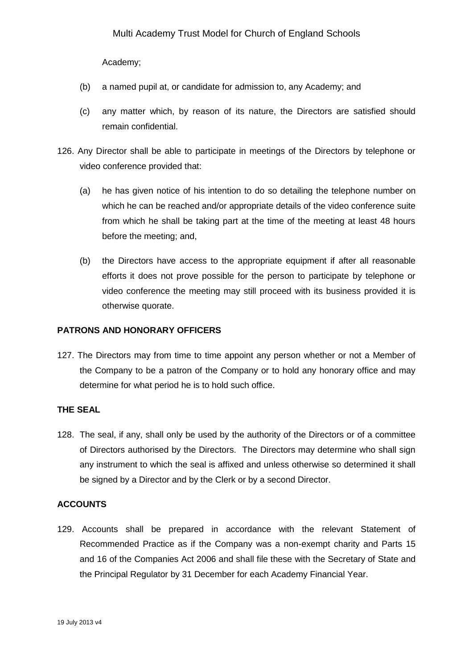Academy;

- (b) a named pupil at, or candidate for admission to, any Academy; and
- (c) any matter which, by reason of its nature, the Directors are satisfied should remain confidential.
- 126. Any Director shall be able to participate in meetings of the Directors by telephone or video conference provided that:
	- (a) he has given notice of his intention to do so detailing the telephone number on which he can be reached and/or appropriate details of the video conference suite from which he shall be taking part at the time of the meeting at least 48 hours before the meeting; and,
	- (b) the Directors have access to the appropriate equipment if after all reasonable efforts it does not prove possible for the person to participate by telephone or video conference the meeting may still proceed with its business provided it is otherwise quorate.

### **PATRONS AND HONORARY OFFICERS**

127. The Directors may from time to time appoint any person whether or not a Member of the Company to be a patron of the Company or to hold any honorary office and may determine for what period he is to hold such office.

# **THE SEAL**

128. The seal, if any, shall only be used by the authority of the Directors or of a committee of Directors authorised by the Directors. The Directors may determine who shall sign any instrument to which the seal is affixed and unless otherwise so determined it shall be signed by a Director and by the Clerk or by a second Director.

### **ACCOUNTS**

129. Accounts shall be prepared in accordance with the relevant Statement of Recommended Practice as if the Company was a non-exempt charity and Parts 15 and 16 of the Companies Act 2006 and shall file these with the Secretary of State and the Principal Regulator by 31 December for each Academy Financial Year.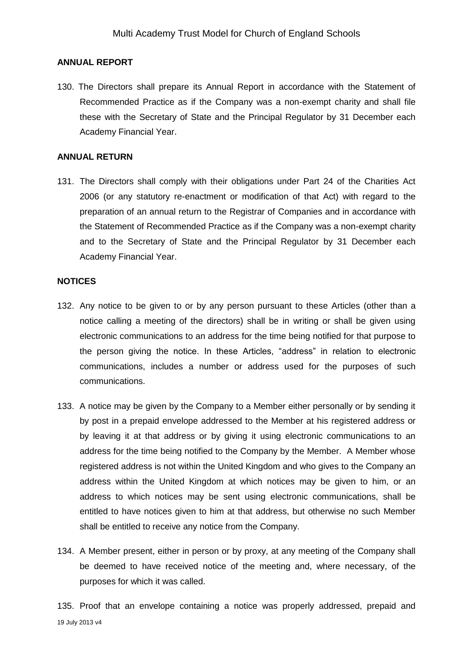#### **ANNUAL REPORT**

130. The Directors shall prepare its Annual Report in accordance with the Statement of Recommended Practice as if the Company was a non-exempt charity and shall file these with the Secretary of State and the Principal Regulator by 31 December each Academy Financial Year.

#### **ANNUAL RETURN**

131. The Directors shall comply with their obligations under Part 24 of the Charities Act 2006 (or any statutory re-enactment or modification of that Act) with regard to the preparation of an annual return to the Registrar of Companies and in accordance with the Statement of Recommended Practice as if the Company was a non-exempt charity and to the Secretary of State and the Principal Regulator by 31 December each Academy Financial Year.

#### **NOTICES**

- 132. Any notice to be given to or by any person pursuant to these Articles (other than a notice calling a meeting of the directors) shall be in writing or shall be given using electronic communications to an address for the time being notified for that purpose to the person giving the notice. In these Articles, "address" in relation to electronic communications, includes a number or address used for the purposes of such communications.
- 133. A notice may be given by the Company to a Member either personally or by sending it by post in a prepaid envelope addressed to the Member at his registered address or by leaving it at that address or by giving it using electronic communications to an address for the time being notified to the Company by the Member. A Member whose registered address is not within the United Kingdom and who gives to the Company an address within the United Kingdom at which notices may be given to him, or an address to which notices may be sent using electronic communications, shall be entitled to have notices given to him at that address, but otherwise no such Member shall be entitled to receive any notice from the Company.
- 134. A Member present, either in person or by proxy, at any meeting of the Company shall be deemed to have received notice of the meeting and, where necessary, of the purposes for which it was called.

19 July 2013 v4 135. Proof that an envelope containing a notice was properly addressed, prepaid and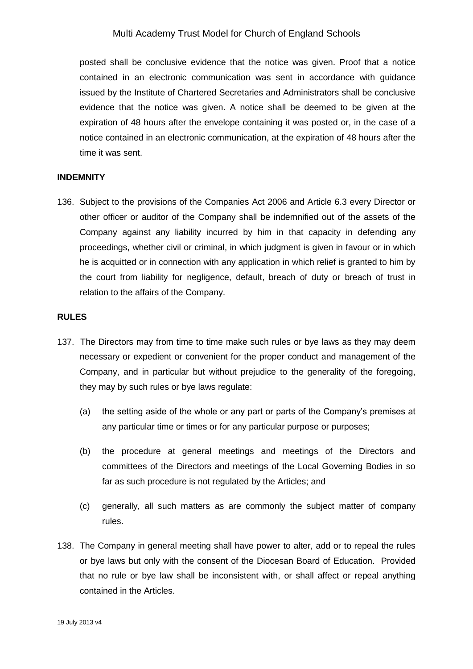posted shall be conclusive evidence that the notice was given. Proof that a notice contained in an electronic communication was sent in accordance with guidance issued by the Institute of Chartered Secretaries and Administrators shall be conclusive evidence that the notice was given. A notice shall be deemed to be given at the expiration of 48 hours after the envelope containing it was posted or, in the case of a notice contained in an electronic communication, at the expiration of 48 hours after the time it was sent.

#### **INDEMNITY**

136. Subject to the provisions of the Companies Act 2006 and Article 6.3 every Director or other officer or auditor of the Company shall be indemnified out of the assets of the Company against any liability incurred by him in that capacity in defending any proceedings, whether civil or criminal, in which judgment is given in favour or in which he is acquitted or in connection with any application in which relief is granted to him by the court from liability for negligence, default, breach of duty or breach of trust in relation to the affairs of the Company.

#### **RULES**

- 137. The Directors may from time to time make such rules or bye laws as they may deem necessary or expedient or convenient for the proper conduct and management of the Company, and in particular but without prejudice to the generality of the foregoing, they may by such rules or bye laws regulate:
	- (a) the setting aside of the whole or any part or parts of the Company's premises at any particular time or times or for any particular purpose or purposes;
	- (b) the procedure at general meetings and meetings of the Directors and committees of the Directors and meetings of the Local Governing Bodies in so far as such procedure is not regulated by the Articles; and
	- (c) generally, all such matters as are commonly the subject matter of company rules.
- 138. The Company in general meeting shall have power to alter, add or to repeal the rules or bye laws but only with the consent of the Diocesan Board of Education. Provided that no rule or bye law shall be inconsistent with, or shall affect or repeal anything contained in the Articles.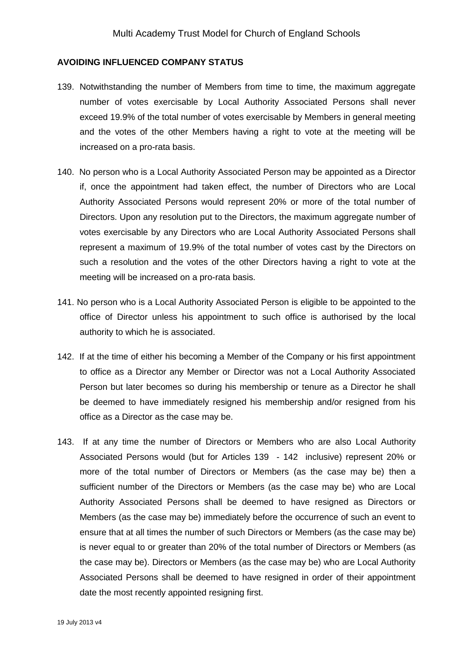#### **AVOIDING INFLUENCED COMPANY STATUS**

- 139. Notwithstanding the number of Members from time to time, the maximum aggregate number of votes exercisable by Local Authority Associated Persons shall never exceed 19.9% of the total number of votes exercisable by Members in general meeting and the votes of the other Members having a right to vote at the meeting will be increased on a pro-rata basis.
- 140. No person who is a Local Authority Associated Person may be appointed as a Director if, once the appointment had taken effect, the number of Directors who are Local Authority Associated Persons would represent 20% or more of the total number of Directors. Upon any resolution put to the Directors, the maximum aggregate number of votes exercisable by any Directors who are Local Authority Associated Persons shall represent a maximum of 19.9% of the total number of votes cast by the Directors on such a resolution and the votes of the other Directors having a right to vote at the meeting will be increased on a pro-rata basis.
- 141. No person who is a Local Authority Associated Person is eligible to be appointed to the office of Director unless his appointment to such office is authorised by the local authority to which he is associated.
- 142. If at the time of either his becoming a Member of the Company or his first appointment to office as a Director any Member or Director was not a Local Authority Associated Person but later becomes so during his membership or tenure as a Director he shall be deemed to have immediately resigned his membership and/or resigned from his office as a Director as the case may be.
- 143. If at any time the number of Directors or Members who are also Local Authority Associated Persons would (but for Articles 139 - 142 inclusive) represent 20% or more of the total number of Directors or Members (as the case may be) then a sufficient number of the Directors or Members (as the case may be) who are Local Authority Associated Persons shall be deemed to have resigned as Directors or Members (as the case may be) immediately before the occurrence of such an event to ensure that at all times the number of such Directors or Members (as the case may be) is never equal to or greater than 20% of the total number of Directors or Members (as the case may be). Directors or Members (as the case may be) who are Local Authority Associated Persons shall be deemed to have resigned in order of their appointment date the most recently appointed resigning first.